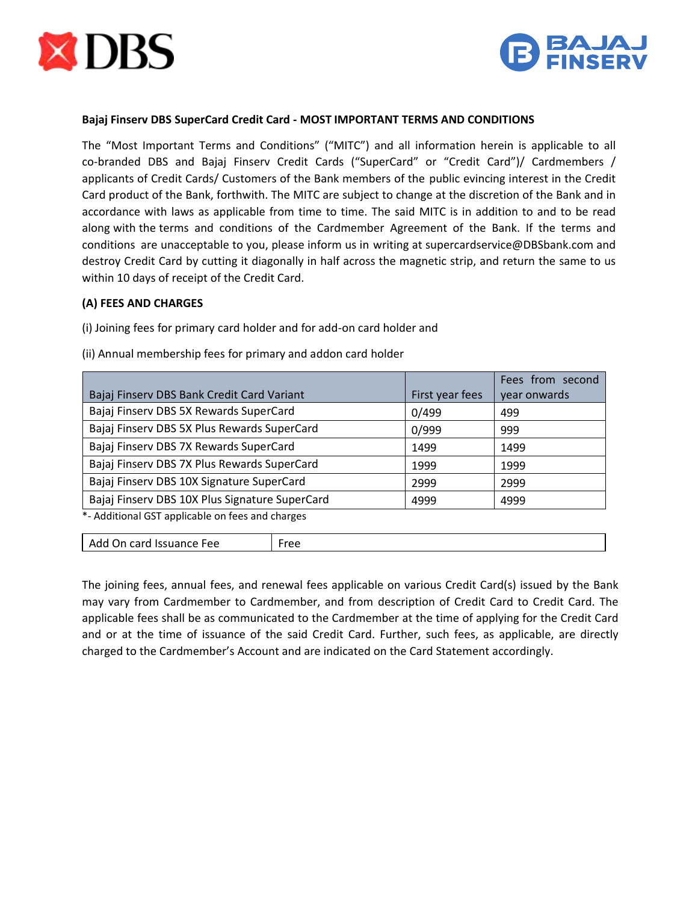



#### **Bajaj Finserv DBS SuperCard Credit Card - MOST IMPORTANT TERMS AND CONDITIONS**

The "Most Important Terms and Conditions" ("MITC") and all information herein is applicable to all co-branded DBS and Bajaj Finserv Credit Cards ("SuperCard" or "Credit Card")/ Cardmembers / applicants of Credit Cards/ Customers of the Bank members of the public evincing interest in the Credit Card product of the Bank, forthwith. The MITC are subject to change at the discretion of the Bank and in accordance with laws as applicable from time to time. The said MITC is in addition to and to be read along with the terms and conditions of the Cardmember Agreement of the Bank. If the terms and conditions are unacceptable to you, please inform us in writing at supercardservice@DBSbank.com and destroy Credit Card by cutting it diagonally in half across the magnetic strip, and return the same to us within 10 days of receipt of the Credit Card.

#### **(A) FEES AND CHARGES**

(i) Joining fees for primary card holder and for add-on card holder and

|                                                  |                 | Fees from second |
|--------------------------------------------------|-----------------|------------------|
| Bajaj Finserv DBS Bank Credit Card Variant       | First year fees | year onwards     |
| Bajaj Finserv DBS 5X Rewards SuperCard           | 0/499           | 499              |
| Bajaj Finserv DBS 5X Plus Rewards SuperCard      | 0/999           | 999              |
| Bajaj Finserv DBS 7X Rewards SuperCard           | 1499            | 1499             |
| Bajaj Finserv DBS 7X Plus Rewards SuperCard      | 1999            | 1999             |
| Bajaj Finserv DBS 10X Signature SuperCard        | 2999            | 2999             |
| Bajaj Finserv DBS 10X Plus Signature SuperCard   | 4999            | 4999             |
| *- Additional GST applicable on fees and charges |                 |                  |

(ii) Annual membership fees for primary and addon card holder

Add On card Issuance Fee Free

The joining fees, annual fees, and renewal fees applicable on various Credit Card(s) issued by the Bank may vary from Cardmember to Cardmember, and from description of Credit Card to Credit Card. The applicable fees shall be as communicated to the Cardmember at the time of applying for the Credit Card and or at the time of issuance of the said Credit Card. Further, such fees, as applicable, are directly charged to the Cardmember's Account and are indicated on the Card Statement accordingly.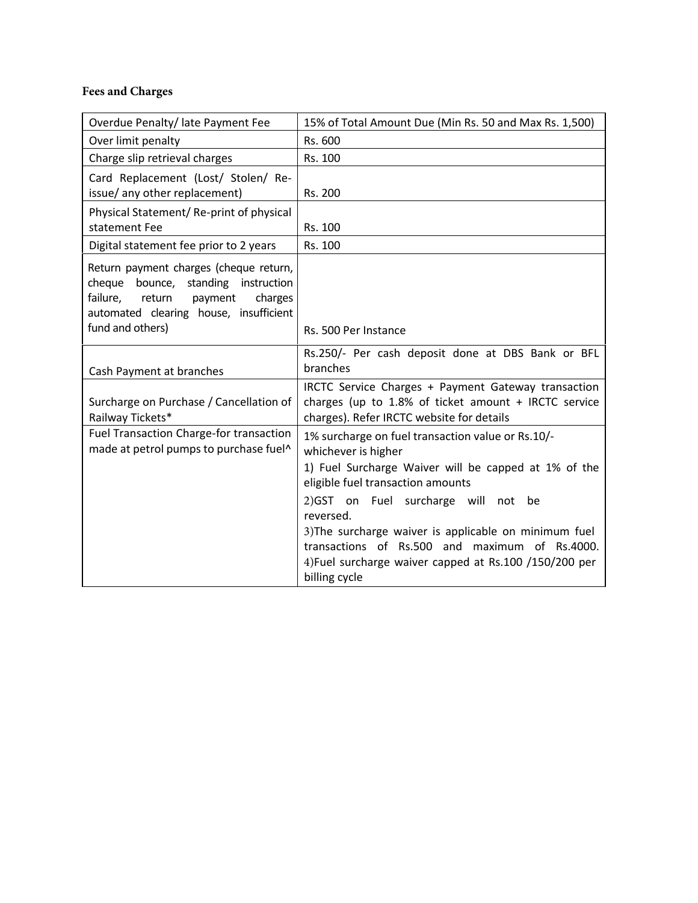# **Fees and Charges**

| Overdue Penalty/ late Payment Fee                                                                                                                                                       | 15% of Total Amount Due (Min Rs. 50 and Max Rs. 1,500)                                                                                                                                                                                                                                                                                                                                                             |
|-----------------------------------------------------------------------------------------------------------------------------------------------------------------------------------------|--------------------------------------------------------------------------------------------------------------------------------------------------------------------------------------------------------------------------------------------------------------------------------------------------------------------------------------------------------------------------------------------------------------------|
| Over limit penalty                                                                                                                                                                      | Rs. 600                                                                                                                                                                                                                                                                                                                                                                                                            |
| Charge slip retrieval charges                                                                                                                                                           | Rs. 100                                                                                                                                                                                                                                                                                                                                                                                                            |
| Card Replacement (Lost/ Stolen/ Re-<br>issue/ any other replacement)                                                                                                                    | Rs. 200                                                                                                                                                                                                                                                                                                                                                                                                            |
| Physical Statement/Re-print of physical<br>statement Fee                                                                                                                                | Rs. 100                                                                                                                                                                                                                                                                                                                                                                                                            |
| Digital statement fee prior to 2 years                                                                                                                                                  | Rs. 100                                                                                                                                                                                                                                                                                                                                                                                                            |
| Return payment charges (cheque return,<br>cheque bounce, standing instruction<br>failure,<br>charges<br>return<br>payment<br>automated clearing house, insufficient<br>fund and others) | Rs. 500 Per Instance                                                                                                                                                                                                                                                                                                                                                                                               |
| Cash Payment at branches                                                                                                                                                                | Rs.250/- Per cash deposit done at DBS Bank or BFL<br>branches                                                                                                                                                                                                                                                                                                                                                      |
| Surcharge on Purchase / Cancellation of<br>Railway Tickets*                                                                                                                             | IRCTC Service Charges + Payment Gateway transaction<br>charges (up to 1.8% of ticket amount + IRCTC service<br>charges). Refer IRCTC website for details                                                                                                                                                                                                                                                           |
| <b>Fuel Transaction Charge-for transaction</b><br>made at petrol pumps to purchase fuel^                                                                                                | 1% surcharge on fuel transaction value or Rs.10/-<br>whichever is higher<br>1) Fuel Surcharge Waiver will be capped at 1% of the<br>eligible fuel transaction amounts<br>2)GST on Fuel surcharge will not be<br>reversed.<br>3) The surcharge waiver is applicable on minimum fuel<br>transactions of Rs.500 and<br>maximum of Rs.4000.<br>4) Fuel surcharge waiver capped at Rs.100 /150/200 per<br>billing cycle |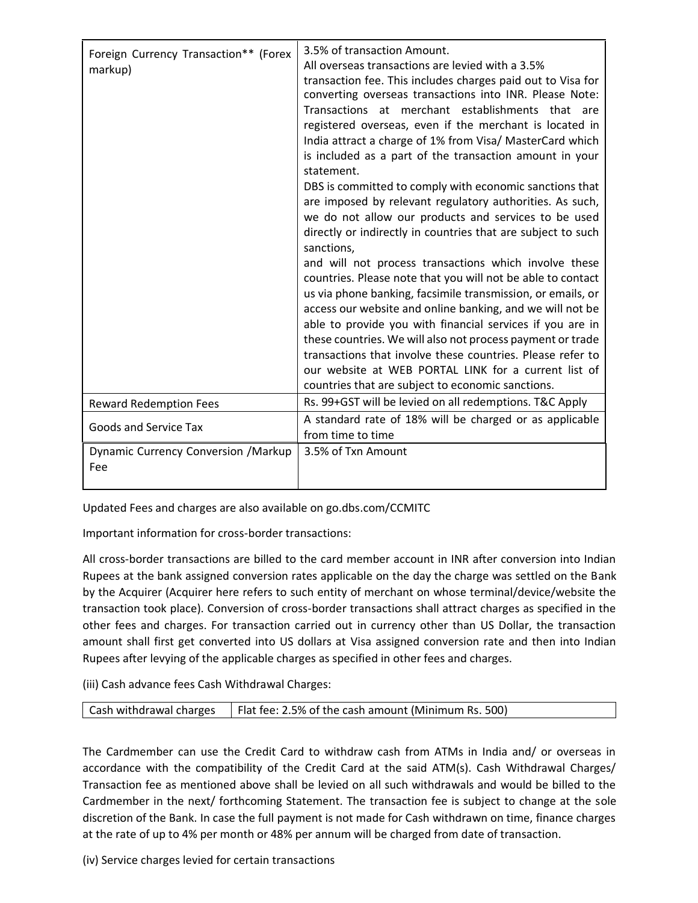| Foreign Currency Transaction** (Forex<br>markup) | 3.5% of transaction Amount.<br>All overseas transactions are levied with a 3.5%<br>transaction fee. This includes charges paid out to Visa for<br>converting overseas transactions into INR. Please Note:<br>Transactions at merchant establishments that are<br>registered overseas, even if the merchant is located in<br>India attract a charge of 1% from Visa/ MasterCard which<br>is included as a part of the transaction amount in your<br>statement.<br>DBS is committed to comply with economic sanctions that<br>are imposed by relevant regulatory authorities. As such,<br>we do not allow our products and services to be used<br>directly or indirectly in countries that are subject to such<br>sanctions,<br>and will not process transactions which involve these<br>countries. Please note that you will not be able to contact<br>us via phone banking, facsimile transmission, or emails, or<br>access our website and online banking, and we will not be<br>able to provide you with financial services if you are in<br>these countries. We will also not process payment or trade<br>transactions that involve these countries. Please refer to<br>our website at WEB PORTAL LINK for a current list of<br>countries that are subject to economic sanctions. |
|--------------------------------------------------|--------------------------------------------------------------------------------------------------------------------------------------------------------------------------------------------------------------------------------------------------------------------------------------------------------------------------------------------------------------------------------------------------------------------------------------------------------------------------------------------------------------------------------------------------------------------------------------------------------------------------------------------------------------------------------------------------------------------------------------------------------------------------------------------------------------------------------------------------------------------------------------------------------------------------------------------------------------------------------------------------------------------------------------------------------------------------------------------------------------------------------------------------------------------------------------------------------------------------------------------------------------------------------------|
| <b>Reward Redemption Fees</b>                    | Rs. 99+GST will be levied on all redemptions. T&C Apply                                                                                                                                                                                                                                                                                                                                                                                                                                                                                                                                                                                                                                                                                                                                                                                                                                                                                                                                                                                                                                                                                                                                                                                                                              |
| <b>Goods and Service Tax</b>                     | A standard rate of 18% will be charged or as applicable                                                                                                                                                                                                                                                                                                                                                                                                                                                                                                                                                                                                                                                                                                                                                                                                                                                                                                                                                                                                                                                                                                                                                                                                                              |
|                                                  | from time to time                                                                                                                                                                                                                                                                                                                                                                                                                                                                                                                                                                                                                                                                                                                                                                                                                                                                                                                                                                                                                                                                                                                                                                                                                                                                    |
| Dynamic Currency Conversion / Markup<br>Fee      | 3.5% of Txn Amount                                                                                                                                                                                                                                                                                                                                                                                                                                                                                                                                                                                                                                                                                                                                                                                                                                                                                                                                                                                                                                                                                                                                                                                                                                                                   |

Updated Fees and charges are also available on go.dbs.com/CCMITC

Important information for cross-border transactions:

All cross-border transactions are billed to the card member account in INR after conversion into Indian Rupees at the bank assigned conversion rates applicable on the day the charge was settled on the Bank by the Acquirer (Acquirer here refers to such entity of merchant on whose terminal/device/website the transaction took place). Conversion of cross-border transactions shall attract charges as specified in the other fees and charges. For transaction carried out in currency other than US Dollar, the transaction amount shall first get converted into US dollars at Visa assigned conversion rate and then into Indian Rupees after levying of the applicable charges as specified in other fees and charges.

(iii) Cash advance fees Cash Withdrawal Charges:

| Cash withdrawal charges | Flat fee: 2.5% of the cash amount (Minimum Rs. 500) |
|-------------------------|-----------------------------------------------------|
|-------------------------|-----------------------------------------------------|

The Cardmember can use the Credit Card to withdraw cash from ATMs in India and/ or overseas in accordance with the compatibility of the Credit Card at the said ATM(s). Cash Withdrawal Charges/ Transaction fee as mentioned above shall be levied on all such withdrawals and would be billed to the Cardmember in the next/ forthcoming Statement. The transaction fee is subject to change at the sole discretion of the Bank. In case the full payment is not made for Cash withdrawn on time, finance charges at the rate of up to 4% per month or 48% per annum will be charged from date of transaction.

(iv) Service charges levied for certain transactions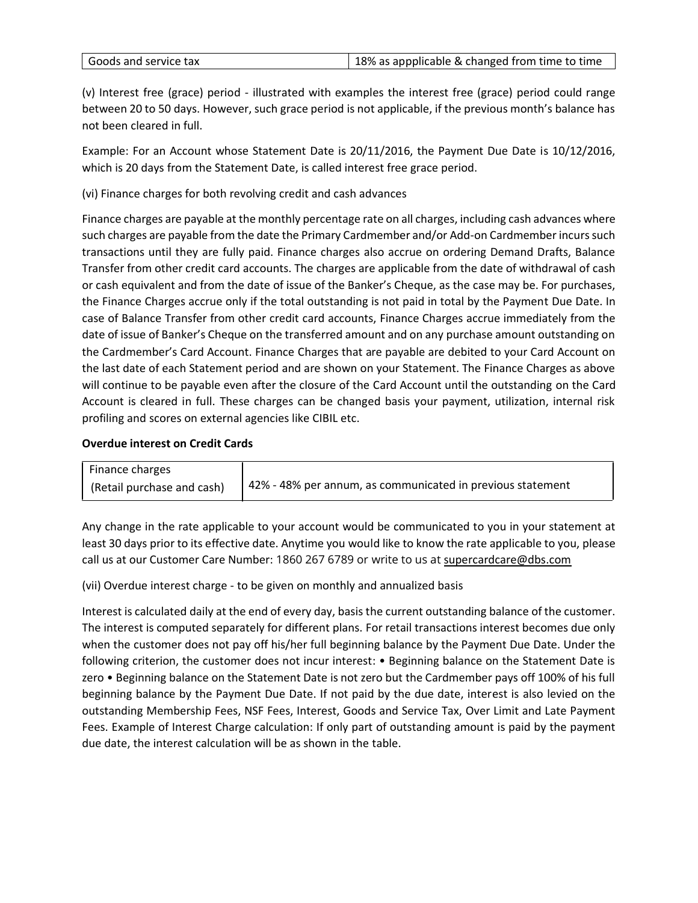(v) Interest free (grace) period - illustrated with examples the interest free (grace) period could range between 20 to 50 days. However, such grace period is not applicable, if the previous month's balance has not been cleared in full.

Example: For an Account whose Statement Date is 20/11/2016, the Payment Due Date is 10/12/2016, which is 20 days from the Statement Date, is called interest free grace period.

(vi) Finance charges for both revolving credit and cash advances

Finance charges are payable at the monthly percentage rate on all charges, including cash advances where such charges are payable from the date the Primary Cardmember and/or Add-on Cardmember incurs such transactions until they are fully paid. Finance charges also accrue on ordering Demand Drafts, Balance Transfer from other credit card accounts. The charges are applicable from the date of withdrawal of cash or cash equivalent and from the date of issue of the Banker's Cheque, as the case may be. For purchases, the Finance Charges accrue only if the total outstanding is not paid in total by the Payment Due Date. In case of Balance Transfer from other credit card accounts, Finance Charges accrue immediately from the date of issue of Banker's Cheque on the transferred amount and on any purchase amount outstanding on the Cardmember's Card Account. Finance Charges that are payable are debited to your Card Account on the last date of each Statement period and are shown on your Statement. The Finance Charges as above will continue to be payable even after the closure of the Card Account until the outstanding on the Card Account is cleared in full. These charges can be changed basis your payment, utilization, internal risk profiling and scores on external agencies like CIBIL etc.

## **Overdue interest on Credit Cards**

| Finance charges            |                                                            |
|----------------------------|------------------------------------------------------------|
| (Retail purchase and cash) | 42% - 48% per annum, as communicated in previous statement |

Any change in the rate applicable to your account would be communicated to you in your statement at least 30 days prior to its effective date. Anytime you would like to know the rate applicable to you, please call us at our Customer Care Number: 1860 267 6789 or write to us at supercardcare@dbs.com

(vii) Overdue interest charge - to be given on monthly and annualized basis

Interest is calculated daily at the end of every day, basis the current outstanding balance of the customer. The interest is computed separately for different plans. For retail transactions interest becomes due only when the customer does not pay off his/her full beginning balance by the Payment Due Date. Under the following criterion, the customer does not incur interest: • Beginning balance on the Statement Date is zero • Beginning balance on the Statement Date is not zero but the Cardmember pays off 100% of his full beginning balance by the Payment Due Date. If not paid by the due date, interest is also levied on the outstanding Membership Fees, NSF Fees, Interest, Goods and Service Tax, Over Limit and Late Payment Fees. Example of Interest Charge calculation: If only part of outstanding amount is paid by the payment due date, the interest calculation will be as shown in the table.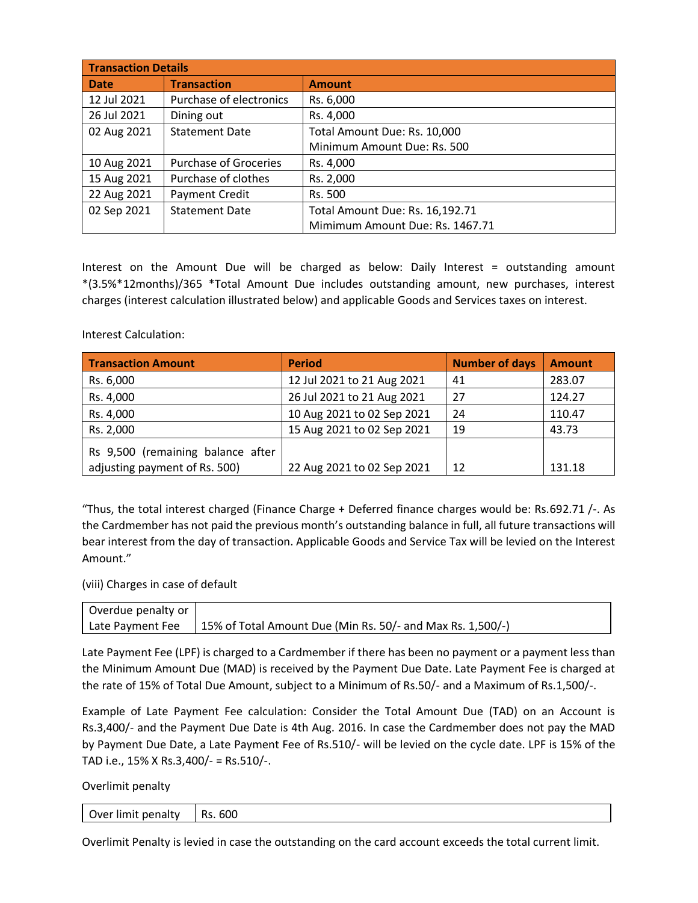| <b>Transaction Details</b> |                              |                                 |
|----------------------------|------------------------------|---------------------------------|
| <b>Date</b>                | <b>Transaction</b>           | <b>Amount</b>                   |
| 12 Jul 2021                | Purchase of electronics      | Rs. 6,000                       |
| 26 Jul 2021                | Dining out                   | Rs. 4,000                       |
| 02 Aug 2021                | <b>Statement Date</b>        | Total Amount Due: Rs. 10,000    |
|                            |                              | Minimum Amount Due: Rs. 500     |
| 10 Aug 2021                | <b>Purchase of Groceries</b> | Rs. 4,000                       |
| 15 Aug 2021                | Purchase of clothes          | Rs. 2,000                       |
| 22 Aug 2021                | Payment Credit               | Rs. 500                         |
| 02 Sep 2021                | <b>Statement Date</b>        | Total Amount Due: Rs. 16,192.71 |
|                            |                              | Mimimum Amount Due: Rs. 1467.71 |

Interest on the Amount Due will be charged as below: Daily Interest = outstanding amount \*(3.5%\*12months)/365 \*Total Amount Due includes outstanding amount, new purchases, interest charges (interest calculation illustrated below) and applicable Goods a[nd Services taxes on intere](mailto:supercardcare@dbs.com)st.

Interest Calculation:

| <b>Transaction Amount</b>         | <b>Period</b>              | <b>Number of days</b> | <b>Amount</b> |
|-----------------------------------|----------------------------|-----------------------|---------------|
| Rs. 6,000                         | 12 Jul 2021 to 21 Aug 2021 | 41                    | 283.07        |
| Rs. 4,000                         | 26 Jul 2021 to 21 Aug 2021 | 27                    | 124.27        |
| Rs. 4,000                         | 10 Aug 2021 to 02 Sep 2021 | 24                    | 110.47        |
| Rs. 2,000                         | 15 Aug 2021 to 02 Sep 2021 | 19                    | 43.73         |
| Rs 9,500 (remaining balance after |                            |                       |               |
| adjusting payment of Rs. 500)     | 22 Aug 2021 to 02 Sep 2021 | 12                    | 131.18        |

"Thus, the total interest charged (Finance Charge + Deferred finance charges would be: Rs.692.71 /-. As the Cardmember has not paid the previous month's outstanding balance in full, all future transactions will bear interest from the day of transaction. Applicable Goods and Service Tax will be levied on the Interest Amount."

(viii) Charges in case of default

| Overdue penalty or |                                                            |
|--------------------|------------------------------------------------------------|
| Late Payment Fee   | 15% of Total Amount Due (Min Rs. 50/- and Max Rs. 1,500/-) |

Late Payment Fee (LPF) is charged to a Cardmember if there has been no payment or a payment less than the Minimum Amount Due (MAD) is received by the Payment Due Date. Late Payment Fee is charged at the rate of 15% of Total Due Amount, subject to a Minimum of Rs.50/- and a Maximum of Rs.1,500/-.

Example of Late Payment Fee calculation: Consider the Total Amount Due (TAD) on an Account is Rs.3,400/- and the Payment Due Date is 4th Aug. 2016. In case the Cardmember does not pay the MAD by Payment Due Date, a Late Payment Fee of Rs.510/- will be levied on the cycle date. LPF is 15% of the TAD i.e., 15% X Rs.3,400/- = Rs.510/-.

Overlimit penalty

| .<br>()ve<br>penalty<br>штин<br>__<br>____ | 600<br>Rс<br>- - -<br>____ |
|--------------------------------------------|----------------------------|
|--------------------------------------------|----------------------------|

Overlimit Penalty is levied in case the outstanding on the card account exceeds the total current limit.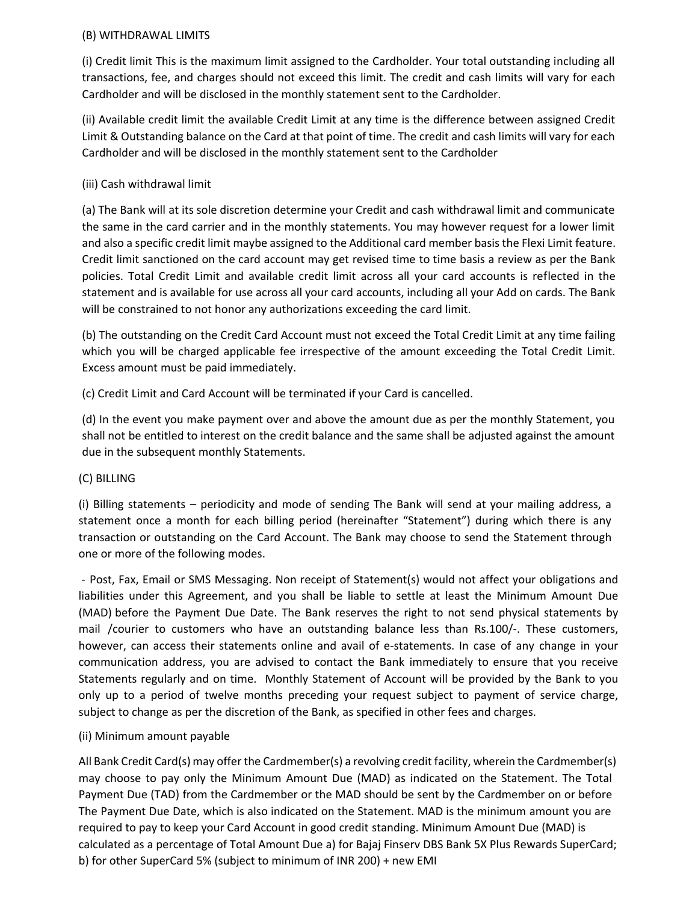#### (B) WITHDRAWAL LIMITS

(i) Credit limit This is the maximum limit assigned to the Cardholder. Your total outstanding including all transactions, fee, and charges should not exceed this limit. The credit and cash limits will vary for each Cardholder and will be disclosed in the monthly statement sent to the Cardholder.

(ii) Available credit limit the available Credit Limit at any time is the difference between assigned Credit Limit & Outstanding balance on the Card at that point of time. The credit and cash limits will vary for each Cardholder and will be disclosed in the monthly statement sent to the Cardholder

## (iii) Cash withdrawal limit

(a) The Bank will at its sole discretion determine your Credit and cash withdrawal limit and communicate the same in the card carrier and in the monthly statements. You may however request for a lower limit and also a specific credit limit maybe assigned to the Additional card member basis the Flexi Limit feature. Credit limit sanctioned on the card account may get revised time to time basis a review as per the Bank policies. Total Credit Limit and available credit limit across all your card accounts is reflected in the statement and is available for use across all your card accounts, including all your Add on cards. The Bank will be constrained to not honor any authorizations exceeding the card limit.

(b) The outstanding on the Credit Card Account must not exceed the Total Credit Limit at any time failing which you will be charged applicable fee irrespective of the amount exceeding the Total Credit Limit. Excess amount must be paid immediately.

(c) Credit Limit and Card Account will be terminated if your Card is cancelled.

(d) In the event you make payment over and above the amount due as per the monthly Statement, you shall not be entitled to interest on the credit balance and the same shall be adjusted against the amount due in the subsequent monthly Statements.

## (C) BILLING

(i) Billing statements – periodicity and mode of sending The Bank will send at your mailing address, a statement once a month for each billing period (hereinafter "Statement") during which there is any transaction or outstanding on the Card Account. The Bank may choose to send the Statement through one or more of the following modes.

- Post, Fax, Email or SMS Messaging. Non receipt of Statement(s) would not affect your obligations and liabilities under this Agreement, and you shall be liable to settle at least the Minimum Amount Due (MAD) before the Payment Due Date. The Bank reserves the right to not send physical statements by mail /courier to customers who have an outstanding balance less than Rs.100/-. These customers, however, can access their statements online and avail of e-statements. In case of any change in your communication address, you are advised to contact the Bank immediately to ensure that you receive Statements regularly and on time. Monthly Statement of Account will be provided by the Bank to you only up to a period of twelve months preceding your request subject to payment of service charge, subject to change as per the discretion of the Bank, as specified in other fees and charges.

## (ii) Minimum amount payable

All Bank Credit Card(s) may offer the Cardmember(s) a revolving credit facility, wherein the Cardmember(s) may choose to pay only the Minimum Amount Due (MAD) as indicated on the Statement. The Total Payment Due (TAD) from the Cardmember or the MAD should be sent by the Cardmember on or before The Payment Due Date, which is also indicated on the Statement. MAD is the minimum amount you are required to pay to keep your Card Account in good credit standing. Minimum Amount Due (MAD) is calculated as a percentage of Total Amount Due a) for Bajaj Finserv DBS Bank 5X Plus Rewards SuperCard; b) for other SuperCard 5% (subject to minimum of INR 200) + new EMI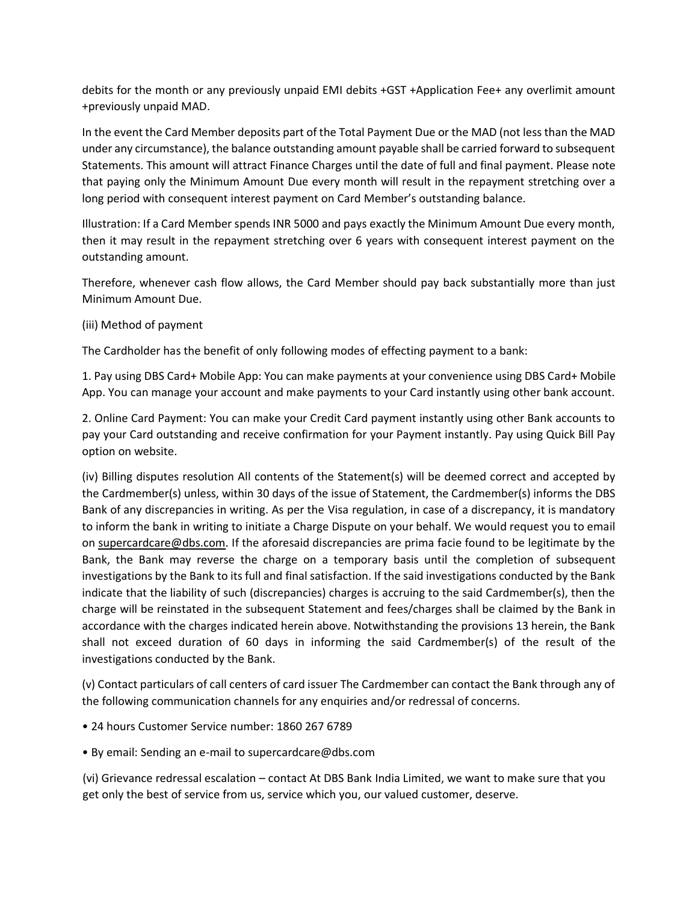debits for the month or any previously unpaid EMI debits +GST +Application Fee+ any overlimit amount +previously unpaid MAD.

In the event the Card Member deposits part of the Total Payment Due or the MAD (not less than the MAD under any circumstance), the balance outstanding amount payable shall be carried forward to subsequent Statements. This amount will attract Finance Charges until the date of full and final payment. Please note that paying only the Minimum Amount Due every month will result in the repayment stretching over a long period with consequent interest payment on Card Member's outstanding balance.

Illustration: If a Card Member spends INR 5000 and pays exactly the Minimum Amount Due every month, then it may result in the repayment stretching over 6 years with consequent interest payment on the outstanding amount.

Therefore, whenever cash flow allows, the Card Member should pay back substantially more than just Minimum Amount Due.

## (iii) Method of payment

The Cardholder has the benefit of only following modes of effecting payment to a bank:

1. Pay using DBS Card+ Mobile App: You can make payments at your convenience using DBS Card+ Mobile App. You can manage your account and make payments to your Card instantly using other bank account.

2. Online Card Payment: You can make your Credit Card payment instantly using other Bank accounts to pay your Card outstanding and receive confirmation for your Payment instantly. Pay using Quick Bill Pay option on website.

(iv) Billing disputes resolution All contents of the Statement(s) will be deemed correct and accepted by the Cardmember(s) unless, within 30 days of the issue of Statement, the Cardmember(s) informs the DBS Bank of any discrepancies in writing. As per the Visa regulation, in case of a discrepancy, it is mandatory to inform the bank in writing to initiate a Charge Dispute on your behalf. We would request you to email on [supercardcare@dbs.com.](mailto:supercardcare@dbs.com) If the aforesaid discrepancies are prima facie found to be legitimate by the Bank, the Bank may reverse the charge on a temporary basis until the completion of subsequent investigations by the Bank to its full and final satisfaction. If the said investigations conducted by the Bank indicate that the liability of such (discrepancies) charges is accruing to the said Cardmember(s), then the charge will be reinstated in the subsequent Statement and fees/charges shall be claimed by the Bank in accordance with the charges indicated herein above. Notwithstanding the provisions 13 herein, the Bank shall not exceed duration of 60 days in informing the said Cardmember(s) of the result of the investigations conducted by the Bank.

(v) Contact particulars of call centers of card issuer The Cardmember can contact the Bank through any of the following communication channels for any enquiries and/or redressal of concerns.

- 24 hours Customer Service number: 1860 267 6789
- By email: Sending an e-mail to supercardcare@dbs.com

(vi) Grievance redressal escalation – contact At DBS Bank India Limited, we want to make sure that you get only the best of service from us, service which you, our valued customer, deserve.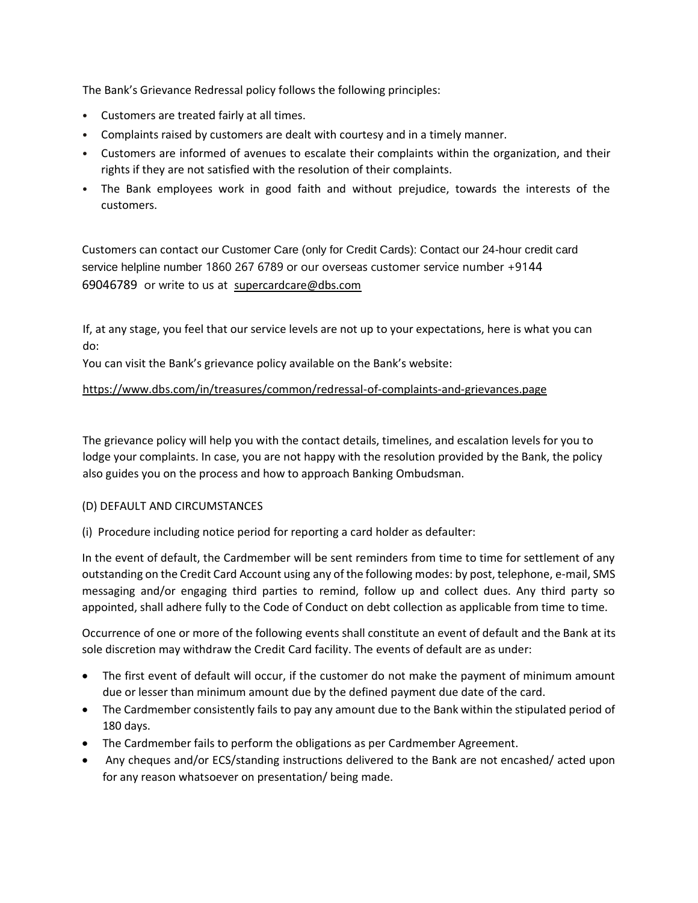The Bank's Grievance Redressal policy follows the following principles:

- Customers are treated fairly at all times.
- Complaints raised by customers are dealt with courtesy and in a timely manner.
- Customers are informed of avenues to escalate their complaints within the organization, and their rights if they are not satisfied with the resolution of their complaints.
- The Bank employees work in good faith and without prejudice, towards the interests of the customers.

Customers can contact our Customer Care (only for Credit Cards): Contact our 24-hour credit card service helpline number 1860 267 6789 or our overseas customer service number +9144 69046789 or write to us at [supercardcare@dbs.com](mailto:supercardcare@dbs.com)

If, at any stage, you feel that our service levels are not up to your expectations, here is what you can do:

You can visit the Bank's grievance policy available on the Bank's website:

## <https://www.dbs.com/in/treasures/common/redressal-of-complaints-and-grievances.page>

The grievance policy will help you with the contact details, timelines, and escalation levels for you to lodge your complaints. In case, you are not happy with the resolution provided by the Bank, the policy also guides you on the process and how to approach Banking Ombudsman.

## (D) DEFAULT AND CIRCUMSTANCES

(i) Procedure including notice period for reporting a card holder as defaulter:

In the event of default, the Cardmember will be sent reminders from time to time for settlement of any outstanding on the Credit Card Account using any of the following modes: by post, telephone, e-mail, SMS messaging and/or engaging third parties to remind, follow up and collect dues. Any third party so appointed, shall adhere fully to the Code of Conduct on debt collection as applicable from time to time.

Occurrence of one or more of the following events shall constitute an event of default and the Bank at its sole discretion may withdraw the Credit Card facility. The events of default are as under:

- The first event of default will occur, if the customer do not make the payment of minimum amount due or lesser than minimum amount due by the defined payment due date of the card.
- The Cardmember consistently fails to pay any amount due to the Bank within the stipulated period of 180 days.
- The Cardmember fails to perform the obligations as per Cardmember Agreement.
- Any cheques and/or ECS/standing instructions delivered to the Bank are not encashed/ acted upon for any reason whatsoever on presentation/ being made.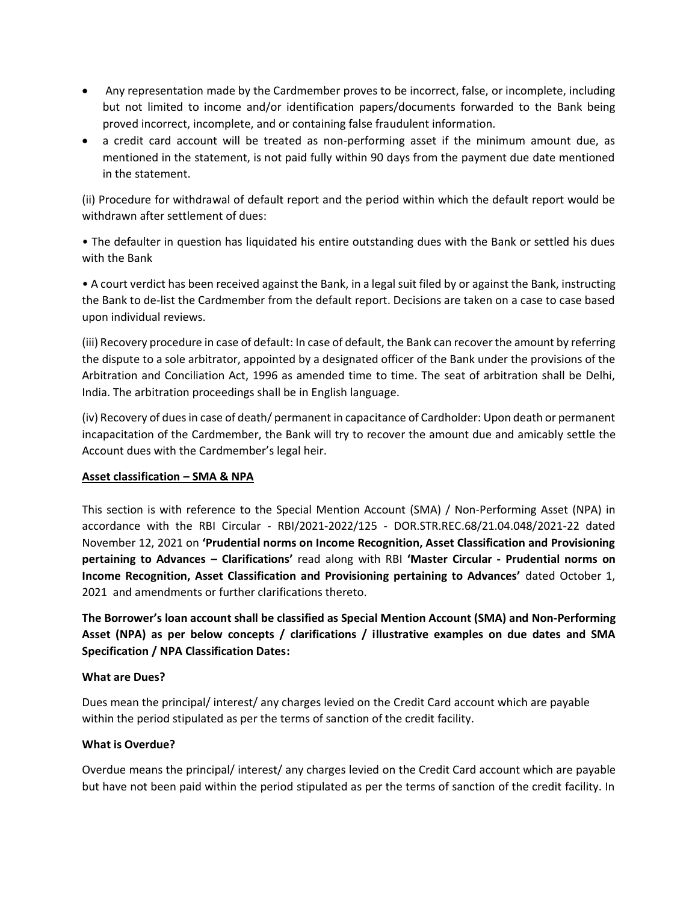- Any representation made by the Cardmember proves to be incorrect, false, or incomplete, including but not limited to income and/or identification papers/documents forwarded to the Bank being proved incorrect, incomplete, and or containing false fraudulent information.
- a credit card account will be treated as non-performing asset if the minimum amount due, as mentioned in the statement, is not paid fully within 90 days from the payment due date mentioned in the statement.

(ii) Procedure for withdrawal of default report and the period within which the default report would be withdrawn after settlement of dues:

• The defaulter in question has liquidated his entire outstanding dues with the Bank or settled his dues with the Bank

• A court verdict has been received against the Bank, in a legal suit filed by or against the Bank, instructing the Bank to de-list the Cardmember from the default report. Decisions are taken on a case to case based upon individual reviews.

(iii) Recovery procedure in case of default: In case of default, the Bank can recover the amount by referring the dispute to a sole arbitrator, appointed by a designated officer of the Bank under the provisions of the Arbitration and Conciliation Act, 1996 as amended time to time. The seat of arbitration shall be Delhi, India. The arbitration proceedings shall be in English language.

(iv) Recovery of dues in case of death/ permanent in capacitance of Cardholder: Upon death or permanent incapacitation of the Cardmember, the Bank will try to recover the amount due and amicably settle the Account dues with the Cardmember's legal heir.

# **Asset classification – SMA & NPA**

This section is with reference to the Special Mention Account (SMA) / Non-Performing Asset (NPA) in accordance with the RBI Circular - RBI/2021-2022/125 - DOR.STR.REC.68/21.04.048/2021-22 dated November 12, 2021 on **'Prudential norms on Income Recognition, Asset Classification and Provisioning pertaining to Advances – Clarifications'** read along with RBI **'Master Circular - Prudential norms on Income Recognition, Asset Classification and Provisioning pertaining to Advances'** dated October 1, 2021 and amendments or further clarifications thereto.

**The Borrower's loan account shall be classified as Special Mention Account (SMA) and Non-Performing Asset (NPA) as per below concepts / clarifications / illustrative examples on due dates and SMA Specification / NPA Classification Dates:**

## **What are Dues?**

Dues mean the principal/ interest/ any charges levied on the Credit Card account which are payable within the period stipulated as per the terms of sanction of the credit facility.

## **What is Overdue?**

Overdue means the principal/ interest/ any charges levied on the Credit Card account which are payable but have not been paid within the period stipulated as per the terms of sanction of the credit facility. In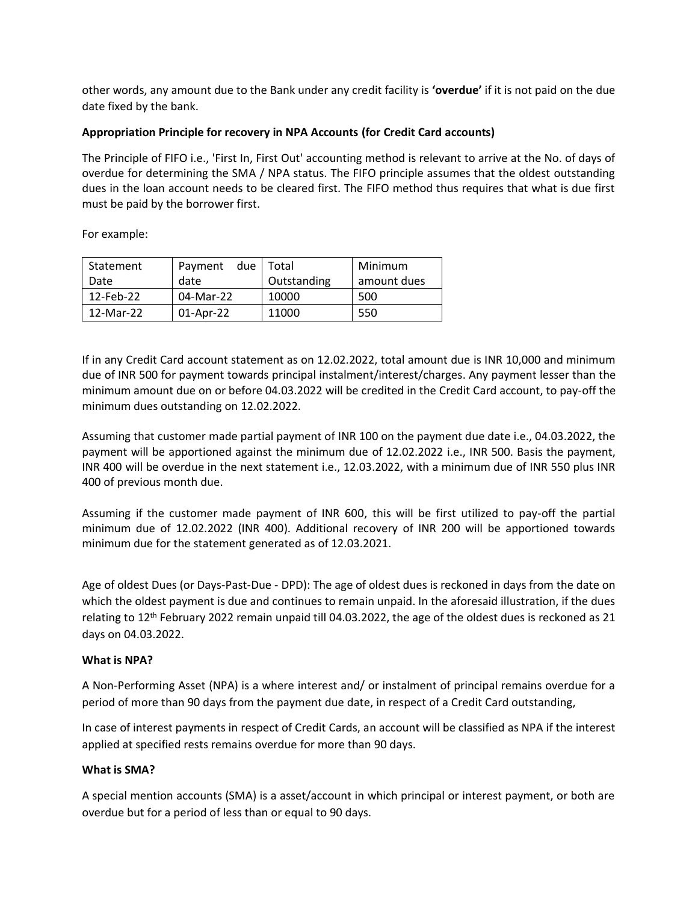other words, any amount due to the Bank under any credit facility is **'overdue'** if it is not paid on the due date fixed by the bank.

## **Appropriation Principle for recovery in NPA Accounts (for Credit Card accounts)**

The Principle of FIFO i.e., 'First In, First Out' accounting method is relevant to arrive at the No. of days of overdue for determining the SMA / NPA status. The FIFO principle assumes that the oldest outstanding dues in the loan account needs to be cleared first. The FIFO method thus requires that what is due first must be paid by the borrower first.

For example:

| Statement | Payment<br>due | Total       | Minimum     |
|-----------|----------------|-------------|-------------|
| Date      | date           | Outstanding | amount dues |
| 12-Feb-22 | 04-Mar-22      | 10000       | 500         |
| 12-Mar-22 | 01-Apr-22      | 11000       | 550         |

If in any Credit Card account statement as on 12.02.2022, total amount due is INR 10,000 and minimum due of INR 500 for payment towards principal instalment/interest/charges. Any payment lesser than the minimum amount due on or before 04.03.2022 will be credited in the Credit Card account, to pay-off the minimum dues outstanding on 12.02.2022.

Assuming that customer made partial payment of INR 100 on the payment due date i.e., 04.03.2022, the payment will be apportioned against the minimum due of 12.02.2022 i.e., INR 500. Basis the payment, INR 400 will be overdue in the next statement i.e., 12.03.2022, with a minimum due of INR 550 plus INR 400 of previous month due.

Assuming if the customer made payment of INR 600, this will be first utilized to pay-off the partial minimum due of 12.02.2022 (INR 400). Additional recovery of INR 200 will be apportioned towards minimum due for the statement generated as of 12.03.2021.

Age of oldest Dues (or Days-Past-Due - DPD): The age of oldest dues is reckoned in days from the date on which the oldest payment is due and continues to remain unpaid. In the aforesaid illustration, if the dues relating to 12th February 2022 remain unpaid till 04.03.2022, the age of the oldest dues is reckoned as 21 days on 04.03.2022.

## **What is NPA?**

A Non-Performing Asset (NPA) is a where interest and/ or instalment of principal remains overdue for a period of more than 90 days from the payment due date, in respect of a Credit Card outstanding,

In case of interest payments in respect of Credit Cards, an account will be classified as NPA if the interest applied at specified rests remains overdue for more than 90 days.

## **What is SMA?**

A special mention accounts (SMA) is a asset/account in which principal or interest payment, or both are overdue but for a period of less than or equal to 90 days.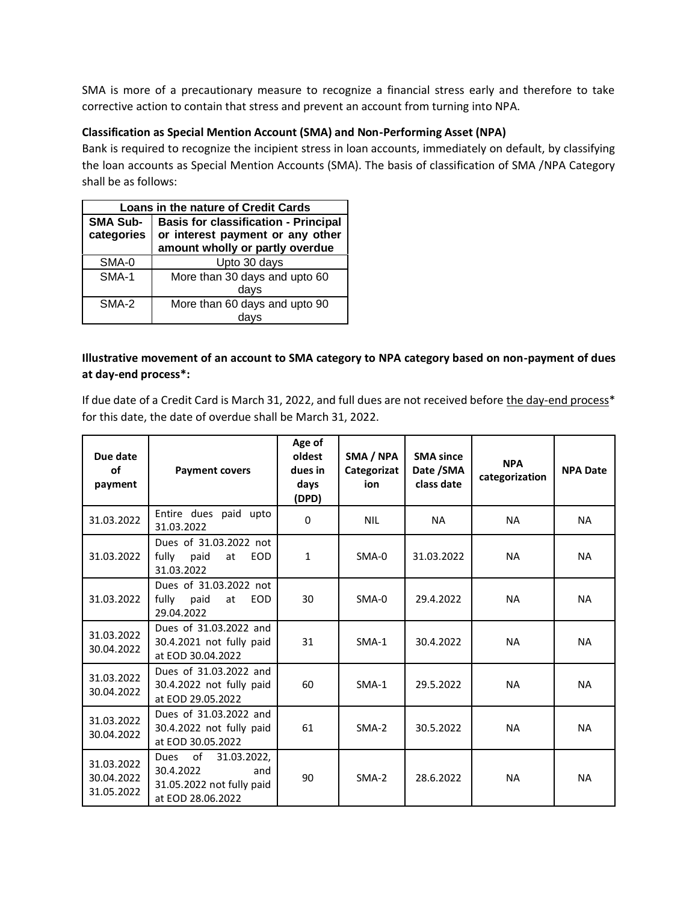SMA is more of a precautionary measure to recognize a financial stress early and therefore to take corrective action to contain that stress and prevent an account from turning into NPA.

## **Classification as Special Mention Account (SMA) and Non-Performing Asset (NPA)**

Bank is required to recognize the incipient stress in loan accounts, immediately on default, by classifying the loan accounts as Special Mention Accounts (SMA). The basis of classification of SMA /NPA Category shall be as follows:

| Loans in the nature of Credit Cards |                                             |  |
|-------------------------------------|---------------------------------------------|--|
| <b>SMA Sub-</b>                     | <b>Basis for classification - Principal</b> |  |
| categories                          | or interest payment or any other            |  |
|                                     | amount wholly or partly overdue             |  |
| SMA-0                               | Upto 30 days                                |  |
| SMA-1                               | More than 30 days and upto 60               |  |
|                                     | days                                        |  |
| SMA-2                               | More than 60 days and upto 90               |  |
|                                     |                                             |  |

## **Illustrative movement of an account to SMA category to NPA category based on non-payment of dues at day-end process\*:**

If due date of a Credit Card is March 31, 2022, and full dues are not received before the day-end process\* for this date, the date of overdue shall be March 31, 2022.

| Due date<br>of<br>payment              | <b>Payment covers</b>                                                                           | Age of<br>oldest<br>dues in<br>days<br>(DPD) | SMA / NPA<br>Categorizat<br>ion | <b>SMA since</b><br>Date /SMA<br>class date | <b>NPA</b><br>categorization | <b>NPA Date</b> |
|----------------------------------------|-------------------------------------------------------------------------------------------------|----------------------------------------------|---------------------------------|---------------------------------------------|------------------------------|-----------------|
| 31.03.2022                             | Entire dues paid upto<br>31.03.2022                                                             | 0                                            | <b>NIL</b>                      | <b>NA</b>                                   | <b>NA</b>                    | <b>NA</b>       |
| 31.03.2022                             | Dues of 31.03.2022 not<br>fully<br>paid<br><b>EOD</b><br>at<br>31.03.2022                       | 1                                            | SMA-0                           | 31.03.2022                                  | <b>NA</b>                    | <b>NA</b>       |
| 31.03.2022                             | Dues of 31.03.2022 not<br>fully<br>paid<br><b>EOD</b><br>at<br>29.04.2022                       | 30                                           | SMA-0                           | 29.4.2022                                   | <b>NA</b>                    | <b>NA</b>       |
| 31.03.2022<br>30.04.2022               | Dues of 31.03.2022 and<br>30.4.2021 not fully paid<br>at EOD 30.04.2022                         | 31                                           | $SMA-1$                         | 30.4.2022                                   | <b>NA</b>                    | <b>NA</b>       |
| 31.03.2022<br>30.04.2022               | Dues of 31.03.2022 and<br>30.4.2022 not fully paid<br>at EOD 29.05.2022                         | 60                                           | $SMA-1$                         | 29.5.2022                                   | <b>NA</b>                    | <b>NA</b>       |
| 31.03.2022<br>30.04.2022               | Dues of 31.03.2022 and<br>30.4.2022 not fully paid<br>at EOD 30.05.2022                         | 61                                           | $SMA-2$                         | 30.5.2022                                   | <b>NA</b>                    | <b>NA</b>       |
| 31.03.2022<br>30.04.2022<br>31.05.2022 | of<br>31.03.2022.<br>Dues<br>30.4.2022<br>and<br>31.05.2022 not fully paid<br>at EOD 28.06.2022 | 90                                           | $SMA-2$                         | 28.6.2022                                   | <b>NA</b>                    | <b>NA</b>       |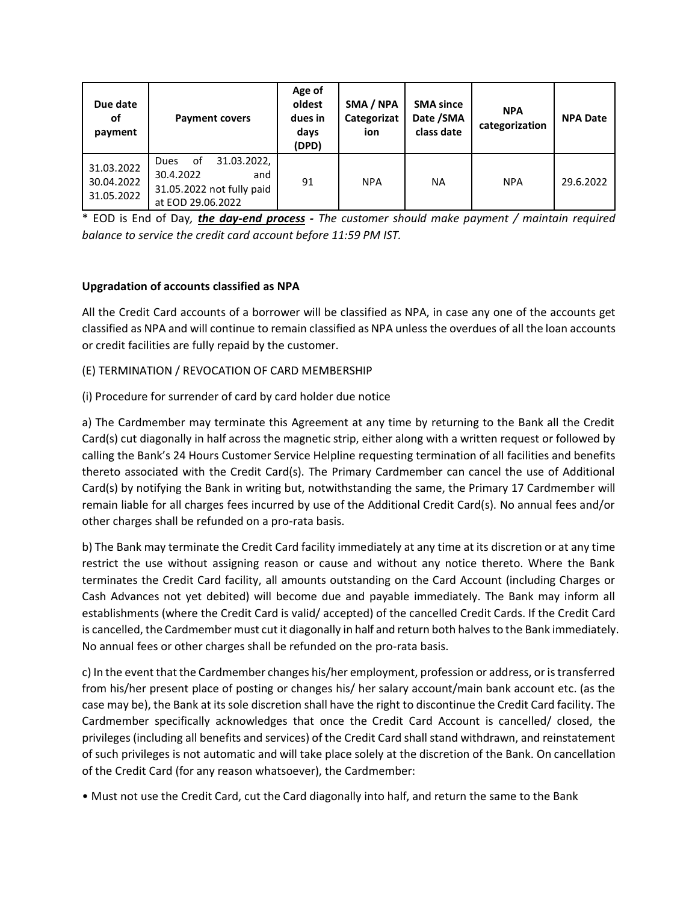| Due date<br>οf<br>payment              | <b>Payment covers</b>                                                                           | Age of<br>oldest<br>dues in<br>days<br>(DPD) | SMA / NPA<br>Categorizat<br>ion | <b>SMA since</b><br>Date /SMA<br>class date | <b>NPA</b><br>categorization | <b>NPA Date</b> |
|----------------------------------------|-------------------------------------------------------------------------------------------------|----------------------------------------------|---------------------------------|---------------------------------------------|------------------------------|-----------------|
| 31.03.2022<br>30.04.2022<br>31.05.2022 | of<br>31.03.2022,<br>Dues<br>30.4.2022<br>and<br>31.05.2022 not fully paid<br>at EOD 29.06.2022 | 91                                           | <b>NPA</b>                      | <b>NA</b>                                   | <b>NPA</b>                   | 29.6.2022       |

\* EOD is End of Day*, the day-end process - The customer should make payment / maintain required balance to service the credit card account before 11:59 PM IST.*

# **Upgradation of accounts classified as NPA**

All the Credit Card accounts of a borrower will be classified as NPA, in case any one of the accounts get classified as NPA and will continue to remain classified as NPA unless the overdues of all the loan accounts or credit facilities are fully repaid by the customer.

# (E) TERMINATION / REVOCATION OF CARD MEMBERSHIP

(i) Procedure for surrender of card by card holder due notice

a) The Cardmember may terminate this Agreement at any time by returning to the Bank all the Credit Card(s) cut diagonally in half across the magnetic strip, either along with a written request or followed by calling the Bank's 24 Hours Customer Service Helpline requesting termination of all facilities and benefits thereto associated with the Credit Card(s). The Primary Cardmember can cancel the use of Additional Card(s) by notifying the Bank in writing but, notwithstanding the same, the Primary 17 Cardmember will remain liable for all charges fees incurred by use of the Additional Credit Card(s). No annual fees and/or other charges shall be refunded on a pro-rata basis.

b) The Bank may terminate the Credit Card facility immediately at any time at its discretion or at any time restrict the use without assigning reason or cause and without any notice thereto. Where the Bank terminates the Credit Card facility, all amounts outstanding on the Card Account (including Charges or Cash Advances not yet debited) will become due and payable immediately. The Bank may inform all establishments (where the Credit Card is valid/ accepted) of the cancelled Credit Cards. If the Credit Card is cancelled, the Cardmember must cut it diagonally in half and return both halves to the Bank immediately. No annual fees or other charges shall be refunded on the pro-rata basis.

c) In the event that the Cardmember changes his/her employment, profession or address, or is transferred from his/her present place of posting or changes his/ her salary account/main bank account etc. (as the case may be), the Bank at its sole discretion shall have the right to discontinue the Credit Card facility. The Cardmember specifically acknowledges that once the Credit Card Account is cancelled/ closed, the privileges (including all benefits and services) of the Credit Card shall stand withdrawn, and reinstatement of such privileges is not automatic and will take place solely at the discretion of the Bank. On cancellation of the Credit Card (for any reason whatsoever), the Cardmember:

• Must not use the Credit Card, cut the Card diagonally into half, and return the same to the Bank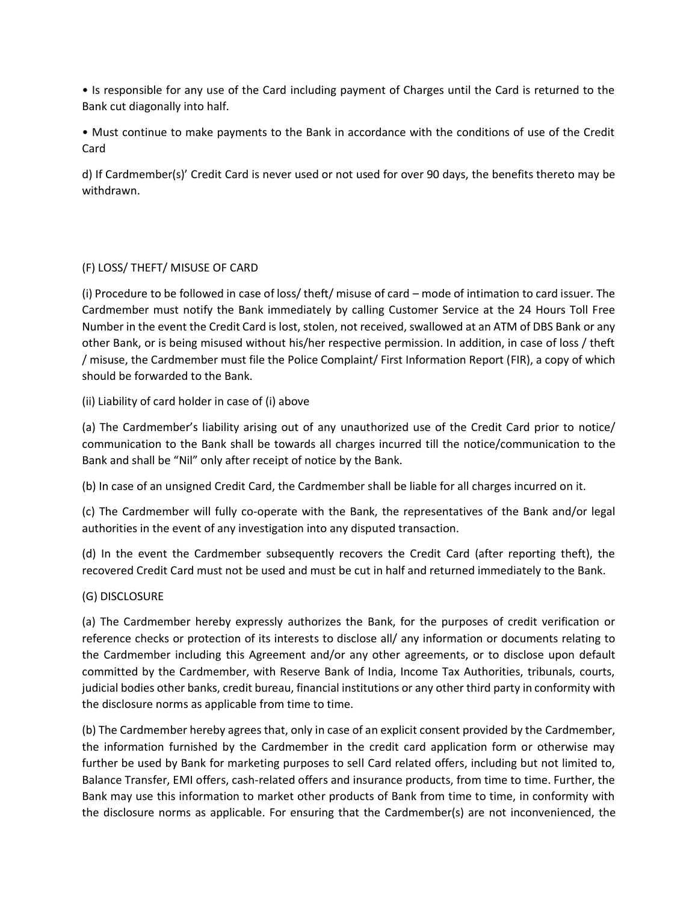• Is responsible for any use of the Card including payment of Charges until the Card is returned to the Bank cut diagonally into half.

• Must continue to make payments to the Bank in accordance with the conditions of use of the Credit Card

d) If Cardmember(s)' Credit Card is never used or not used for over 90 days, the benefits thereto may be withdrawn.

## (F) LOSS/ THEFT/ MISUSE OF CARD

(i) Procedure to be followed in case of loss/ theft/ misuse of card – mode of intimation to card issuer. The Cardmember must notify the Bank immediately by calling Customer Service at the 24 Hours Toll Free Number in the event the Credit Card is lost, stolen, not received, swallowed at an ATM of DBS Bank or any other Bank, or is being misused without his/her respective permission. In addition, in case of loss / theft / misuse, the Cardmember must file the Police Complaint/ First Information Report (FIR), a copy of which should be forwarded to the Bank.

(ii) Liability of card holder in case of (i) above

(a) The Cardmember's liability arising out of any unauthorized use of the Credit Card prior to notice/ communication to the Bank shall be towards all charges incurred till the notice/communication to the Bank and shall be "Nil" only after receipt of notice by the Bank.

(b) In case of an unsigned Credit Card, the Cardmember shall be liable for all charges incurred on it.

(c) The Cardmember will fully co-operate with the Bank, the representatives of the Bank and/or legal authorities in the event of any investigation into any disputed transaction.

(d) In the event the Cardmember subsequently recovers the Credit Card (after reporting theft), the recovered Credit Card must not be used and must be cut in half and returned immediately to the Bank.

## (G) DISCLOSURE

(a) The Cardmember hereby expressly authorizes the Bank, for the purposes of credit verification or reference checks or protection of its interests to disclose all/ any information or documents relating to the Cardmember including this Agreement and/or any other agreements, or to disclose upon default committed by the Cardmember, with Reserve Bank of India, Income Tax Authorities, tribunals, courts, judicial bodies other banks, credit bureau, financial institutions or any other third party in conformity with the disclosure norms as applicable from time to time.

(b) The Cardmember hereby agrees that, only in case of an explicit consent provided by the Cardmember, the information furnished by the Cardmember in the credit card application form or otherwise may further be used by Bank for marketing purposes to sell Card related offers, including but not limited to, Balance Transfer, EMI offers, cash-related offers and insurance products, from time to time. Further, the Bank may use this information to market other products of Bank from time to time, in conformity with the disclosure norms as applicable. For ensuring that the Cardmember(s) are not inconvenienced, the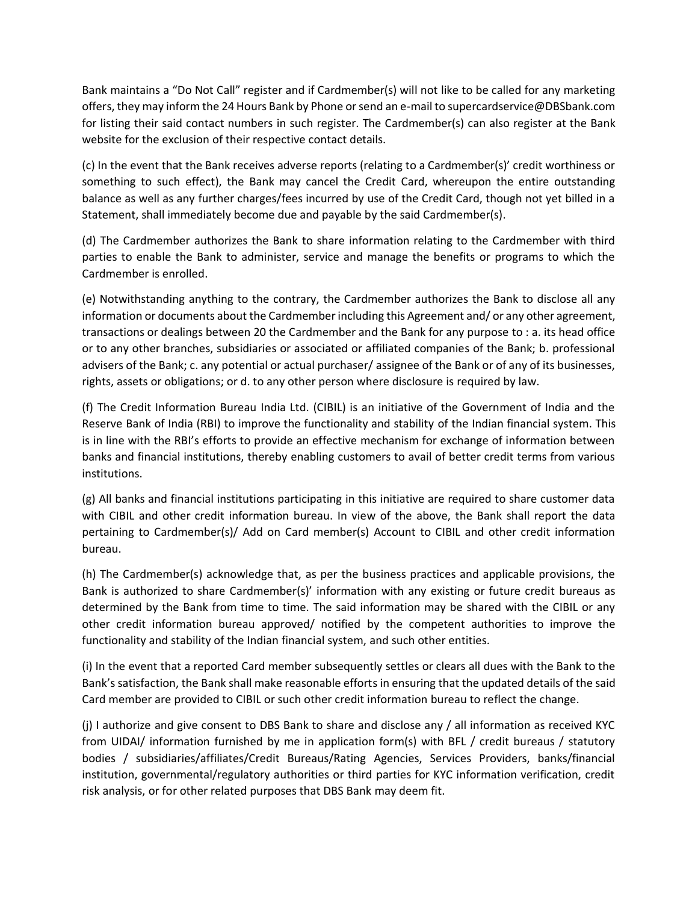Bank maintains a "Do Not Call" register and if Cardmember(s) will not like to be called for any marketing offers, they may inform the 24 Hours Bank by Phone or send an e-mail to supercardservice@DBSbank.com for listing their said contact numbers in such register. The Cardmember(s) can also register at the Bank website for the exclusion of their respective contact details.

(c) In the event that the Bank receives adverse reports (relating to a Cardmember(s)' credit worthiness or something to such effect), the Bank may cancel the Credit Card, whereupon the entire outstanding balance as well as any further charges/fees incurred by use of the Credit Card, though not yet billed in a Statement, shall immediately become due and payable by the said Cardmember(s).

(d) The Cardmember authorizes the Bank to share information relating to the Cardmember with third parties to enable the Bank to administer, service and manage the benefits or programs to which the Cardmember is enrolled.

(e) Notwithstanding anything to the contrary, the Cardmember authorizes the Bank to disclose all any information or documents about the Cardmember including this Agreement and/ or any other agreement, transactions or dealings between 20 the Cardmember and the Bank for any purpose to : a. its head office or to any other branches, subsidiaries or associated or affiliated companies of the Bank; b. professional advisers of the Bank; c. any potential or actual purchaser/ assignee of the Bank or of any of its businesses, rights, assets or obligations; or d. to any other person where disclosure is required by law.

(f) The Credit Information Bureau India Ltd. (CIBIL) is an initiative of the Government of India and the Reserve Bank of India (RBI) to improve the functionality and stability of the Indian financial system. This is in line with the RBI's efforts to provide an effective mechanism for exchange of information between banks and financial institutions, thereby enabling customers to avail of better credit terms from various institutions.

(g) All banks and financial institutions participating in this initiative are required to share customer data with CIBIL and other credit information bureau. In view of the above, the Bank shall report the data pertaining to Cardmember(s)/ Add on Card member(s) Account to CIBIL and other credit information bureau.

(h) The Cardmember(s) acknowledge that, as per the business practices and applicable provisions, the Bank is authorized to share Cardmember(s)' information with any existing or future credit bureaus as determined by the Bank from time to time. The said information may be shared with the CIBIL or any other credit information bureau approved/ notified by the competent authorities to improve the functionality and stability of the Indian financial system, and such other entities.

(i) In the event that a reported Card member subsequently settles or clears all dues with the Bank to the Bank's satisfaction, the Bank shall make reasonable efforts in ensuring that the updated details of the said Card member are provided to CIBIL or such other credit information bureau to reflect the change.

(j) I authorize and give consent to DBS Bank to share and disclose any / all information as received KYC from UIDAI/ information furnished by me in application form(s) with BFL / credit bureaus / statutory bodies / subsidiaries/affiliates/Credit Bureaus/Rating Agencies, Services Providers, banks/financial institution, governmental/regulatory authorities or third parties for KYC information verification, credit risk analysis, or for other related purposes that DBS Bank may deem fit.